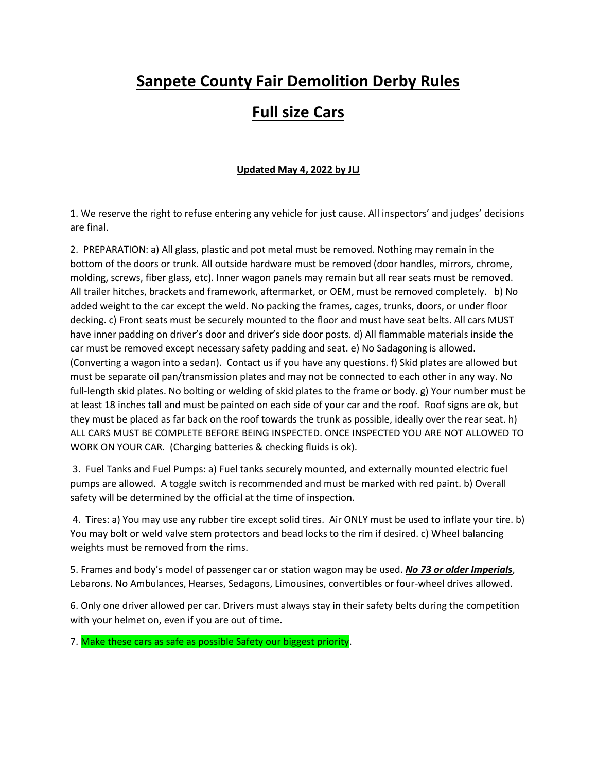# **Sanpete County Fair Demolition Derby Rules**

# **Full size Cars**

#### **Updated May 4, 2022 by JLJ**

1. We reserve the right to refuse entering any vehicle for just cause. All inspectors' and judges' decisions are final.

2. PREPARATION: a) All glass, plastic and pot metal must be removed. Nothing may remain in the bottom of the doors or trunk. All outside hardware must be removed (door handles, mirrors, chrome, molding, screws, fiber glass, etc). Inner wagon panels may remain but all rear seats must be removed. All trailer hitches, brackets and framework, aftermarket, or OEM, must be removed completely. b) No added weight to the car except the weld. No packing the frames, cages, trunks, doors, or under floor decking. c) Front seats must be securely mounted to the floor and must have seat belts. All cars MUST have inner padding on driver's door and driver's side door posts. d) All flammable materials inside the car must be removed except necessary safety padding and seat. e) No Sadagoning is allowed. (Converting a wagon into a sedan). Contact us if you have any questions. f) Skid plates are allowed but must be separate oil pan/transmission plates and may not be connected to each other in any way. No full-length skid plates. No bolting or welding of skid plates to the frame or body. g) Your number must be at least 18 inches tall and must be painted on each side of your car and the roof. Roof signs are ok, but they must be placed as far back on the roof towards the trunk as possible, ideally over the rear seat. h) ALL CARS MUST BE COMPLETE BEFORE BEING INSPECTED. ONCE INSPECTED YOU ARE NOT ALLOWED TO WORK ON YOUR CAR. (Charging batteries & checking fluids is ok).

3. Fuel Tanks and Fuel Pumps: a) Fuel tanks securely mounted, and externally mounted electric fuel pumps are allowed. A toggle switch is recommended and must be marked with red paint. b) Overall safety will be determined by the official at the time of inspection.

4. Tires: a) You may use any rubber tire except solid tires. Air ONLY must be used to inflate your tire. b) You may bolt or weld valve stem protectors and bead locks to the rim if desired. c) Wheel balancing weights must be removed from the rims.

5. Frames and body's model of passenger car or station wagon may be used. *No 73 or older Imperials*, Lebarons. No Ambulances, Hearses, Sedagons, Limousines, convertibles or four-wheel drives allowed.

6. Only one driver allowed per car. Drivers must always stay in their safety belts during the competition with your helmet on, even if you are out of time.

7. Make these cars as safe as possible Safety our biggest priority.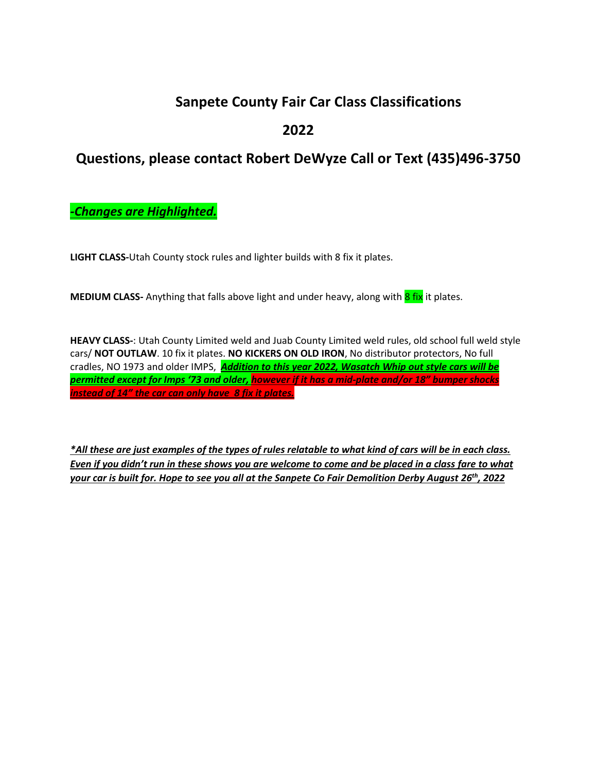# **Sanpete County Fair Car Class Classifications**

## **2022**

## **Questions, please contact Robert DeWyze Call or Text (435)496-3750**

*-Changes are Highlighted.*

**LIGHT CLASS-**Utah County stock rules and lighter builds with 8 fix it plates.

**MEDIUM CLASS-** Anything that falls above light and under heavy, along with 8 fix it plates.

**HEAVY CLASS-**: Utah County Limited weld and Juab County Limited weld rules, old school full weld style cars/ **NOT OUTLAW**. 10 fix it plates. **NO KICKERS ON OLD IRON**, No distributor protectors, No full cradles, NO 1973 and older IMPS, *Addition to this year 2022, Wasatch Whip out style cars will be permitted except for Imps '73 and older, however if it has a mid-plate and/or 18" bumper shocks instead of 14" the car can only have 8 fix it plates.*

*\*All these are just examples of the types of rules relatable to what kind of cars will be in each class. Even if you didn't run in these shows you are welcome to come and be placed in a class fare to what your car is built for. Hope to see you all at the Sanpete Co Fair Demolition Derby August 26 th, 2022*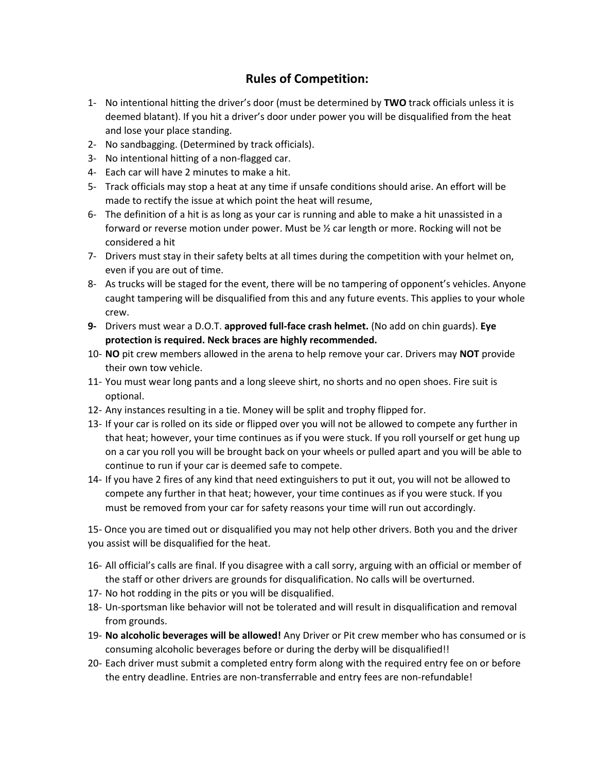### **Rules of Competition:**

- 1- No intentional hitting the driver's door (must be determined by **TWO** track officials unless it is deemed blatant). If you hit a driver's door under power you will be disqualified from the heat and lose your place standing.
- 2- No sandbagging. (Determined by track officials).
- 3- No intentional hitting of a non-flagged car.
- 4- Each car will have 2 minutes to make a hit.
- 5- Track officials may stop a heat at any time if unsafe conditions should arise. An effort will be made to rectify the issue at which point the heat will resume,
- 6- The definition of a hit is as long as your car is running and able to make a hit unassisted in a forward or reverse motion under power. Must be ½ car length or more. Rocking will not be considered a hit
- 7- Drivers must stay in their safety belts at all times during the competition with your helmet on, even if you are out of time.
- 8- As trucks will be staged for the event, there will be no tampering of opponent's vehicles. Anyone caught tampering will be disqualified from this and any future events. This applies to your whole crew.
- **9-** Drivers must wear a D.O.T. **approved full-face crash helmet.** (No add on chin guards). **Eye protection is required. Neck braces are highly recommended.**
- 10- **NO** pit crew members allowed in the arena to help remove your car. Drivers may **NOT** provide their own tow vehicle.
- 11- You must wear long pants and a long sleeve shirt, no shorts and no open shoes. Fire suit is optional.
- 12- Any instances resulting in a tie. Money will be split and trophy flipped for.
- 13- If your car is rolled on its side or flipped over you will not be allowed to compete any further in that heat; however, your time continues as if you were stuck. If you roll yourself or get hung up on a car you roll you will be brought back on your wheels or pulled apart and you will be able to continue to run if your car is deemed safe to compete.
- 14- If you have 2 fires of any kind that need extinguishers to put it out, you will not be allowed to compete any further in that heat; however, your time continues as if you were stuck. If you must be removed from your car for safety reasons your time will run out accordingly.

15- Once you are timed out or disqualified you may not help other drivers. Both you and the driver you assist will be disqualified for the heat.

- 16- All official's calls are final. If you disagree with a call sorry, arguing with an official or member of the staff or other drivers are grounds for disqualification. No calls will be overturned.
- 17- No hot rodding in the pits or you will be disqualified.
- 18- Un-sportsman like behavior will not be tolerated and will result in disqualification and removal from grounds.
- 19- **No alcoholic beverages will be allowed!** Any Driver or Pit crew member who has consumed or is consuming alcoholic beverages before or during the derby will be disqualified!!
- 20- Each driver must submit a completed entry form along with the required entry fee on or before the entry deadline. Entries are non-transferrable and entry fees are non-refundable!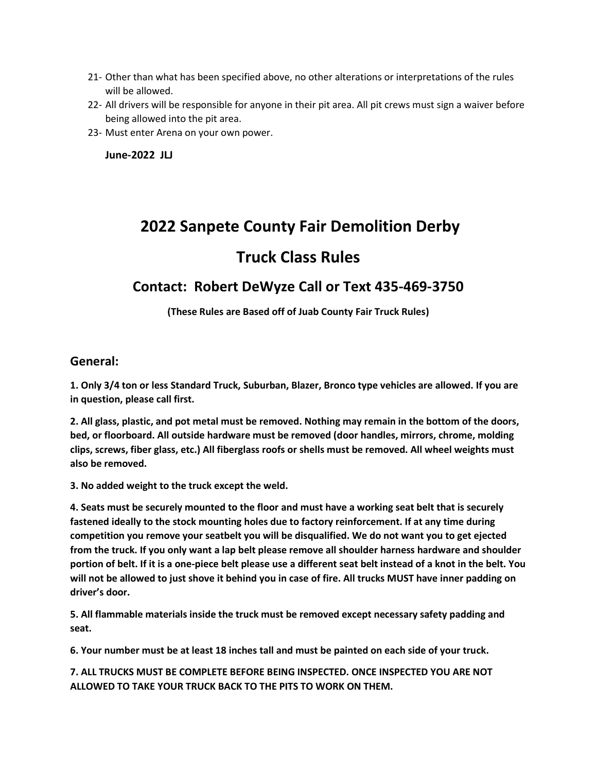- 21- Other than what has been specified above, no other alterations or interpretations of the rules will be allowed.
- 22- All drivers will be responsible for anyone in their pit area. All pit crews must sign a waiver before being allowed into the pit area.
- 23- Must enter Arena on your own power.

**June-2022 JLJ**

# **2022 Sanpete County Fair Demolition Derby**

# **Truck Class Rules**

## **Contact: Robert DeWyze Call or Text 435-469-3750**

**(These Rules are Based off of Juab County Fair Truck Rules)**

#### **General:**

**1. Only 3/4 ton or less Standard Truck, Suburban, Blazer, Bronco type vehicles are allowed. If you are in question, please call first.**

**2. All glass, plastic, and pot metal must be removed. Nothing may remain in the bottom of the doors, bed, or floorboard. All outside hardware must be removed (door handles, mirrors, chrome, molding clips, screws, fiber glass, etc.) All fiberglass roofs or shells must be removed. All wheel weights must also be removed.**

**3. No added weight to the truck except the weld.**

**4. Seats must be securely mounted to the floor and must have a working seat belt that is securely fastened ideally to the stock mounting holes due to factory reinforcement. If at any time during competition you remove your seatbelt you will be disqualified. We do not want you to get ejected from the truck. If you only want a lap belt please remove all shoulder harness hardware and shoulder portion of belt. If it is a one-piece belt please use a different seat belt instead of a knot in the belt. You will not be allowed to just shove it behind you in case of fire. All trucks MUST have inner padding on driver's door.**

**5. All flammable materials inside the truck must be removed except necessary safety padding and seat.**

**6. Your number must be at least 18 inches tall and must be painted on each side of your truck.** 

**7. ALL TRUCKS MUST BE COMPLETE BEFORE BEING INSPECTED. ONCE INSPECTED YOU ARE NOT ALLOWED TO TAKE YOUR TRUCK BACK TO THE PITS TO WORK ON THEM.**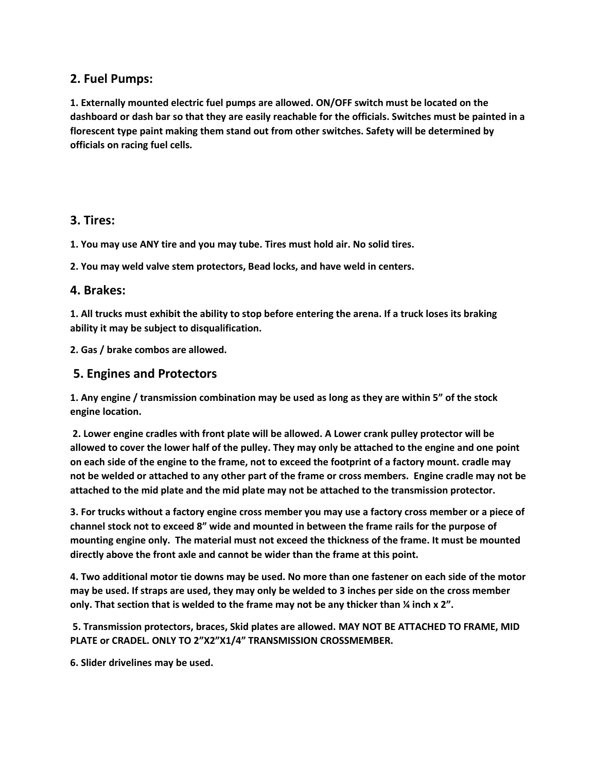#### **2. Fuel Pumps:**

**1. Externally mounted electric fuel pumps are allowed. ON/OFF switch must be located on the dashboard or dash bar so that they are easily reachable for the officials. Switches must be painted in a florescent type paint making them stand out from other switches. Safety will be determined by officials on racing fuel cells.** 

#### **3. Tires:**

**1. You may use ANY tire and you may tube. Tires must hold air. No solid tires.** 

**2. You may weld valve stem protectors, Bead locks, and have weld in centers.**

#### **4. Brakes:**

**1. All trucks must exhibit the ability to stop before entering the arena. If a truck loses its braking ability it may be subject to disqualification.** 

**2. Gas / brake combos are allowed.**

#### **5. Engines and Protectors**

**1. Any engine / transmission combination may be used as long as they are within 5" of the stock engine location.**

**2. Lower engine cradles with front plate will be allowed. A Lower crank pulley protector will be allowed to cover the lower half of the pulley. They may only be attached to the engine and one point on each side of the engine to the frame, not to exceed the footprint of a factory mount. cradle may not be welded or attached to any other part of the frame or cross members. Engine cradle may not be attached to the mid plate and the mid plate may not be attached to the transmission protector.**

**3. For trucks without a factory engine cross member you may use a factory cross member or a piece of channel stock not to exceed 8" wide and mounted in between the frame rails for the purpose of mounting engine only. The material must not exceed the thickness of the frame. It must be mounted directly above the front axle and cannot be wider than the frame at this point.** 

**4. Two additional motor tie downs may be used. No more than one fastener on each side of the motor may be used. If straps are used, they may only be welded to 3 inches per side on the cross member only. That section that is welded to the frame may not be any thicker than ¼ inch x 2".**

**5. Transmission protectors, braces, Skid plates are allowed. MAY NOT BE ATTACHED TO FRAME, MID PLATE or CRADEL. ONLY TO 2"X2"X1/4" TRANSMISSION CROSSMEMBER.** 

**6. Slider drivelines may be used.**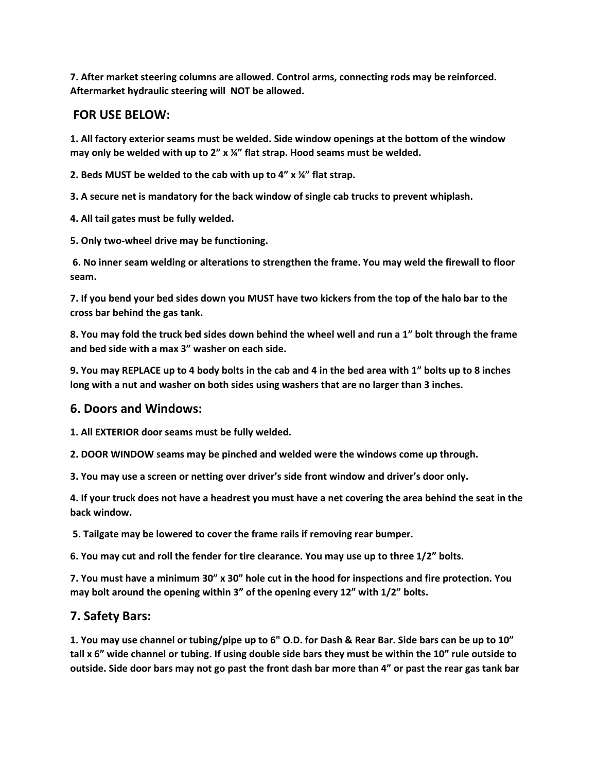**7. After market steering columns are allowed. Control arms, connecting rods may be reinforced. Aftermarket hydraulic steering will NOT be allowed.**

#### **FOR USE BELOW:**

**1. All factory exterior seams must be welded. Side window openings at the bottom of the window may only be welded with up to 2" x ¼" flat strap. Hood seams must be welded.**

**2. Beds MUST be welded to the cab with up to 4" x ¼" flat strap.** 

**3. A secure net is mandatory for the back window of single cab trucks to prevent whiplash.** 

**4. All tail gates must be fully welded.** 

**5. Only two-wheel drive may be functioning.**

**6. No inner seam welding or alterations to strengthen the frame. You may weld the firewall to floor seam.** 

**7. If you bend your bed sides down you MUST have two kickers from the top of the halo bar to the cross bar behind the gas tank.** 

**8. You may fold the truck bed sides down behind the wheel well and run a 1" bolt through the frame and bed side with a max 3" washer on each side.** 

**9. You may REPLACE up to 4 body bolts in the cab and 4 in the bed area with 1" bolts up to 8 inches long with a nut and washer on both sides using washers that are no larger than 3 inches.** 

#### **6. Doors and Windows:**

**1. All EXTERIOR door seams must be fully welded.**

**2. DOOR WINDOW seams may be pinched and welded were the windows come up through.** 

**3. You may use a screen or netting over driver's side front window and driver's door only.** 

**4. If your truck does not have a headrest you must have a net covering the area behind the seat in the back window.**

**5. Tailgate may be lowered to cover the frame rails if removing rear bumper.** 

**6. You may cut and roll the fender for tire clearance. You may use up to three 1/2" bolts.** 

**7. You must have a minimum 30" x 30" hole cut in the hood for inspections and fire protection. You may bolt around the opening within 3" of the opening every 12" with 1/2" bolts.** 

#### **7. Safety Bars:**

**1. You may use channel or tubing/pipe up to 6" O.D. for Dash & Rear Bar. Side bars can be up to 10" tall x 6" wide channel or tubing. If using double side bars they must be within the 10" rule outside to outside. Side door bars may not go past the front dash bar more than 4" or past the rear gas tank bar**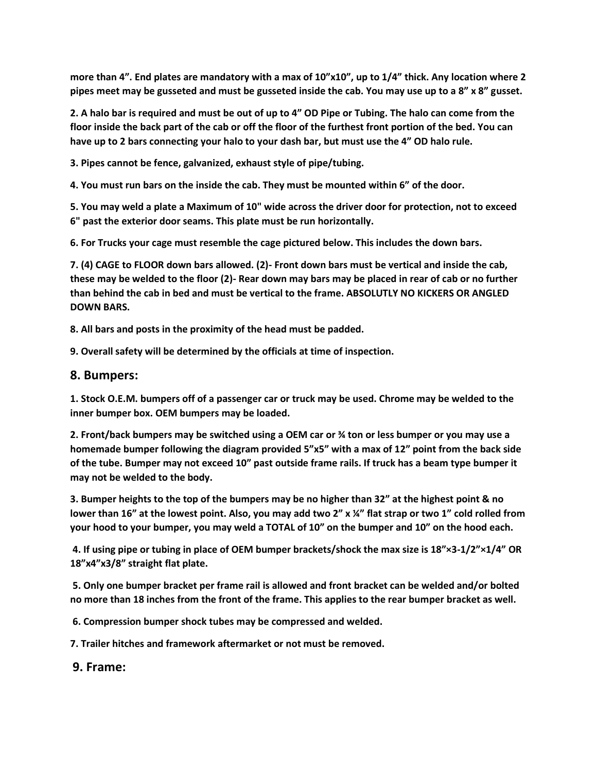**more than 4". End plates are mandatory with a max of 10"x10", up to 1/4" thick. Any location where 2 pipes meet may be gusseted and must be gusseted inside the cab. You may use up to a 8" x 8" gusset.** 

**2. A halo bar is required and must be out of up to 4" OD Pipe or Tubing. The halo can come from the floor inside the back part of the cab or off the floor of the furthest front portion of the bed. You can have up to 2 bars connecting your halo to your dash bar, but must use the 4" OD halo rule.** 

**3. Pipes cannot be fence, galvanized, exhaust style of pipe/tubing.** 

**4. You must run bars on the inside the cab. They must be mounted within 6" of the door.** 

**5. You may weld a plate a Maximum of 10" wide across the driver door for protection, not to exceed 6" past the exterior door seams. This plate must be run horizontally.**

**6. For Trucks your cage must resemble the cage pictured below. This includes the down bars.** 

**7. (4) CAGE to FLOOR down bars allowed. (2)- Front down bars must be vertical and inside the cab, these may be welded to the floor (2)- Rear down may bars may be placed in rear of cab or no further than behind the cab in bed and must be vertical to the frame. ABSOLUTLY NO KICKERS OR ANGLED DOWN BARS.** 

**8. All bars and posts in the proximity of the head must be padded.** 

**9. Overall safety will be determined by the officials at time of inspection.** 

#### **8. Bumpers:**

**1. Stock O.E.M. bumpers off of a passenger car or truck may be used. Chrome may be welded to the inner bumper box. OEM bumpers may be loaded.** 

**2. Front/back bumpers may be switched using a OEM car or ¾ ton or less bumper or you may use a homemade bumper following the diagram provided 5"x5" with a max of 12" point from the back side of the tube. Bumper may not exceed 10" past outside frame rails. If truck has a beam type bumper it may not be welded to the body.** 

**3. Bumper heights to the top of the bumpers may be no higher than 32" at the highest point & no lower than 16" at the lowest point. Also, you may add two 2" x ¼" flat strap or two 1" cold rolled from your hood to your bumper, you may weld a TOTAL of 10" on the bumper and 10" on the hood each.**

**4. If using pipe or tubing in place of OEM bumper brackets/shock the max size is 18"×3-1/2"×1/4" OR 18"x4"x3/8" straight flat plate.**

**5. Only one bumper bracket per frame rail is allowed and front bracket can be welded and/or bolted no more than 18 inches from the front of the frame. This applies to the rear bumper bracket as well.**

**6. Compression bumper shock tubes may be compressed and welded.** 

**7. Trailer hitches and framework aftermarket or not must be removed.**

#### **9. Frame:**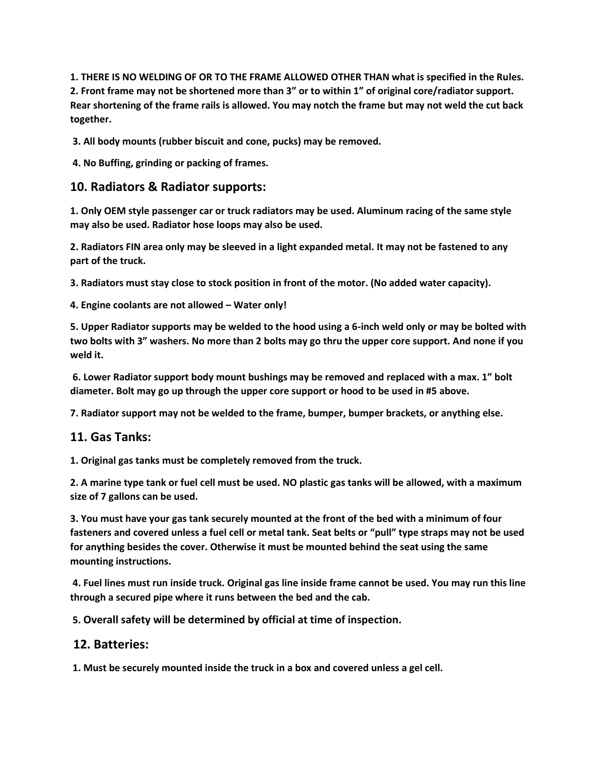**1. THERE IS NO WELDING OF OR TO THE FRAME ALLOWED OTHER THAN what is specified in the Rules. 2. Front frame may not be shortened more than 3" or to within 1" of original core/radiator support. Rear shortening of the frame rails is allowed. You may notch the frame but may not weld the cut back together.**

**3. All body mounts (rubber biscuit and cone, pucks) may be removed.**

**4. No Buffing, grinding or packing of frames.**

#### **10. Radiators & Radiator supports:**

**1. Only OEM style passenger car or truck radiators may be used. Aluminum racing of the same style may also be used. Radiator hose loops may also be used.** 

**2. Radiators FIN area only may be sleeved in a light expanded metal. It may not be fastened to any part of the truck.** 

**3. Radiators must stay close to stock position in front of the motor. (No added water capacity).** 

**4. Engine coolants are not allowed – Water only!**

**5. Upper Radiator supports may be welded to the hood using a 6-inch weld only or may be bolted with two bolts with 3" washers. No more than 2 bolts may go thru the upper core support. And none if you weld it.**

**6. Lower Radiator support body mount bushings may be removed and replaced with a max. 1" bolt diameter. Bolt may go up through the upper core support or hood to be used in #5 above.** 

**7. Radiator support may not be welded to the frame, bumper, bumper brackets, or anything else.** 

#### **11. Gas Tanks:**

**1. Original gas tanks must be completely removed from the truck.** 

**2. A marine type tank or fuel cell must be used. NO plastic gas tanks will be allowed, with a maximum size of 7 gallons can be used.** 

**3. You must have your gas tank securely mounted at the front of the bed with a minimum of four fasteners and covered unless a fuel cell or metal tank. Seat belts or "pull" type straps may not be used for anything besides the cover. Otherwise it must be mounted behind the seat using the same mounting instructions.**

**4. Fuel lines must run inside truck. Original gas line inside frame cannot be used. You may run this line through a secured pipe where it runs between the bed and the cab.**

**5. Overall safety will be determined by official at time of inspection.**

#### **12. Batteries:**

**1. Must be securely mounted inside the truck in a box and covered unless a gel cell.**